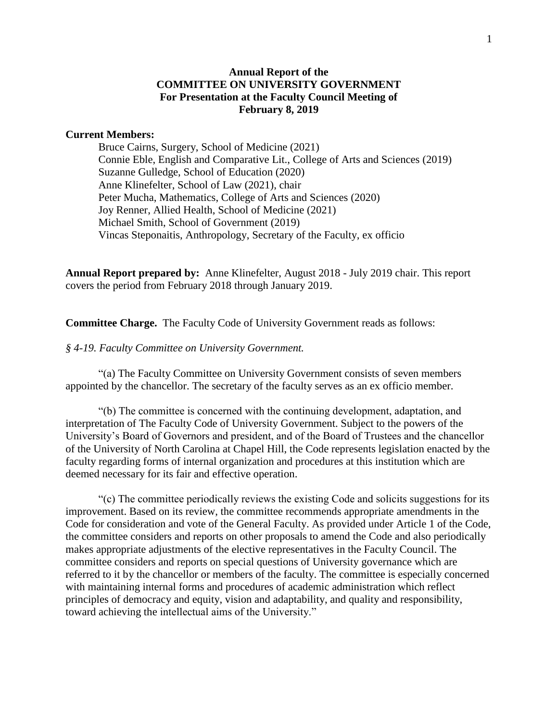#### **Annual Report of the COMMITTEE ON UNIVERSITY GOVERNMENT For Presentation at the Faculty Council Meeting of February 8, 2019**

#### **Current Members:**

Bruce Cairns, Surgery, School of Medicine (2021) Connie Eble, English and Comparative Lit., College of Arts and Sciences (2019) Suzanne Gulledge, School of Education (2020) Anne Klinefelter, School of Law (2021), chair Peter Mucha, Mathematics, College of Arts and Sciences (2020) Joy Renner, Allied Health, School of Medicine (2021) Michael Smith, School of Government (2019) Vincas Steponaitis, Anthropology, Secretary of the Faculty, ex officio

**Annual Report prepared by:** Anne Klinefelter, August 2018 - July 2019 chair. This report covers the period from February 2018 through January 2019.

**Committee Charge.** The Faculty Code of University Government reads as follows:

*§ 4-19. Faculty Committee on University Government.* 

"(a) The Faculty Committee on University Government consists of seven members appointed by the chancellor. The secretary of the faculty serves as an ex officio member.

"(b) The committee is concerned with the continuing development, adaptation, and interpretation of The Faculty Code of University Government. Subject to the powers of the University's Board of Governors and president, and of the Board of Trustees and the chancellor of the University of North Carolina at Chapel Hill, the Code represents legislation enacted by the faculty regarding forms of internal organization and procedures at this institution which are deemed necessary for its fair and effective operation.

"(c) The committee periodically reviews the existing Code and solicits suggestions for its improvement. Based on its review, the committee recommends appropriate amendments in the Code for consideration and vote of the General Faculty. As provided under Article 1 of the Code, the committee considers and reports on other proposals to amend the Code and also periodically makes appropriate adjustments of the elective representatives in the Faculty Council. The committee considers and reports on special questions of University governance which are referred to it by the chancellor or members of the faculty. The committee is especially concerned with maintaining internal forms and procedures of academic administration which reflect principles of democracy and equity, vision and adaptability, and quality and responsibility, toward achieving the intellectual aims of the University."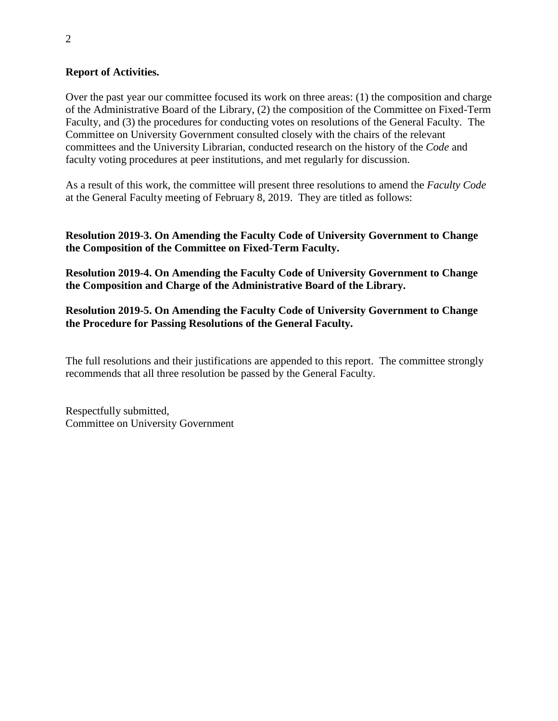#### **Report of Activities.**

Over the past year our committee focused its work on three areas: (1) the composition and charge of the Administrative Board of the Library, (2) the composition of the Committee on Fixed-Term Faculty, and (3) the procedures for conducting votes on resolutions of the General Faculty. The Committee on University Government consulted closely with the chairs of the relevant committees and the University Librarian, conducted research on the history of the *Code* and faculty voting procedures at peer institutions, and met regularly for discussion.

As a result of this work, the committee will present three resolutions to amend the *Faculty Code* at the General Faculty meeting of February 8, 2019. They are titled as follows:

**Resolution 2019-3. On Amending the Faculty Code of University Government to Change the Composition of the Committee on Fixed-Term Faculty.**

**Resolution 2019-4. On Amending the Faculty Code of University Government to Change the Composition and Charge of the Administrative Board of the Library.**

**Resolution 2019-5. On Amending the Faculty Code of University Government to Change the Procedure for Passing Resolutions of the General Faculty.**

The full resolutions and their justifications are appended to this report. The committee strongly recommends that all three resolution be passed by the General Faculty.

Respectfully submitted, Committee on University Government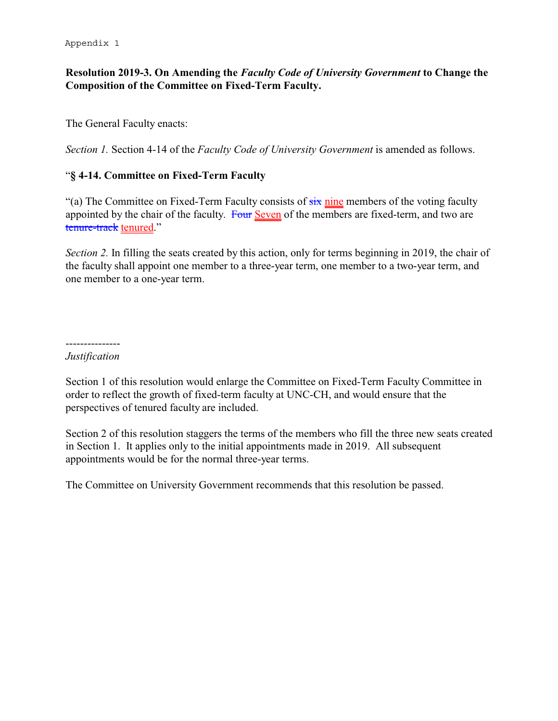# **Resolution 2019-3. On Amending the** *Faculty Code of University Government* **to Change the Composition of the Committee on Fixed-Term Faculty.**

The General Faculty enacts:

*Section 1.* Section 4-14 of the *Faculty Code of University Government* is amended as follows.

# "**§ 4-14. Committee on Fixed-Term Faculty**

"(a) The Committee on Fixed-Term Faculty consists of  $\frac{1}{\sin \theta}$  members of the voting faculty appointed by the chair of the faculty. Four Seven of the members are fixed-term, and two are tenure-track tenured."

*Section 2.* In filling the seats created by this action, only for terms beginning in 2019, the chair of the faculty shall appoint one member to a three-year term, one member to a two-year term, and one member to a one-year term.

---------------

# *Justification*

Section 1 of this resolution would enlarge the Committee on Fixed-Term Faculty Committee in order to reflect the growth of fixed-term faculty at UNC-CH, and would ensure that the perspectives of tenured faculty are included.

Section 2 of this resolution staggers the terms of the members who fill the three new seats created in Section 1. It applies only to the initial appointments made in 2019. All subsequent appointments would be for the normal three-year terms.

The Committee on University Government recommends that this resolution be passed.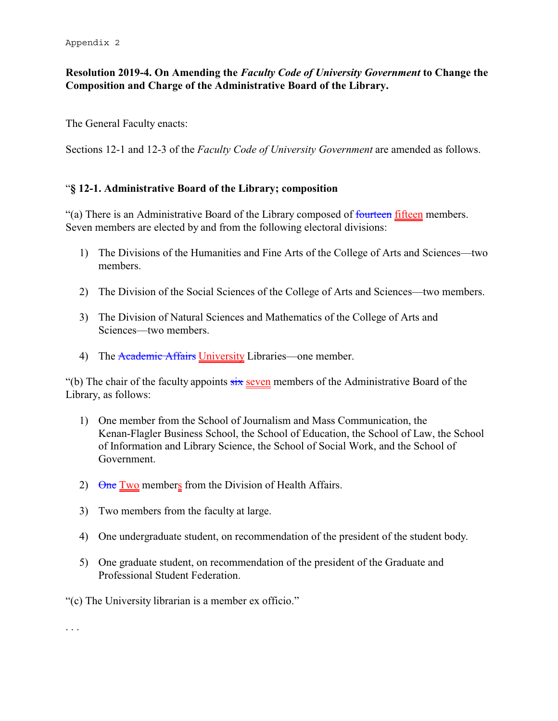# **Resolution 2019-4. On Amending the** *Faculty Code of University Government* **to Change the Composition and Charge of the Administrative Board of the Library.**

The General Faculty enacts:

Sections 12-1 and 12-3 of the *Faculty Code of University Government* are amended as follows.

#### "**§ 12-1. Administrative Board of the Library; composition**

"(a) There is an Administrative Board of the Library composed of fourteen fifteen members. Seven members are elected by and from the following electoral divisions:

- 1) The Divisions of the Humanities and Fine Arts of the College of Arts and Sciences—two members.
- 2) The Division of the Social Sciences of the College of Arts and Sciences—two members.
- 3) The Division of Natural Sciences and Mathematics of the College of Arts and Sciences—two members.
- 4) The Academic Affairs University Libraries—one member.

"(b) The chair of the faculty appoints  $six$  seven members of the Administrative Board of the Library, as follows:

- 1) One member from the School of Journalism and Mass Communication, the Kenan-Flagler Business School, the School of Education, the School of Law, the School of Information and Library Science, the School of Social Work, and the School of Government.
- 2) One Two members from the Division of Health Affairs.
- 3) Two members from the faculty at large.
- 4) One undergraduate student, on recommendation of the president of the student body.
- 5) One graduate student, on recommendation of the president of the Graduate and Professional Student Federation.

"(c) The University librarian is a member ex officio."

. . .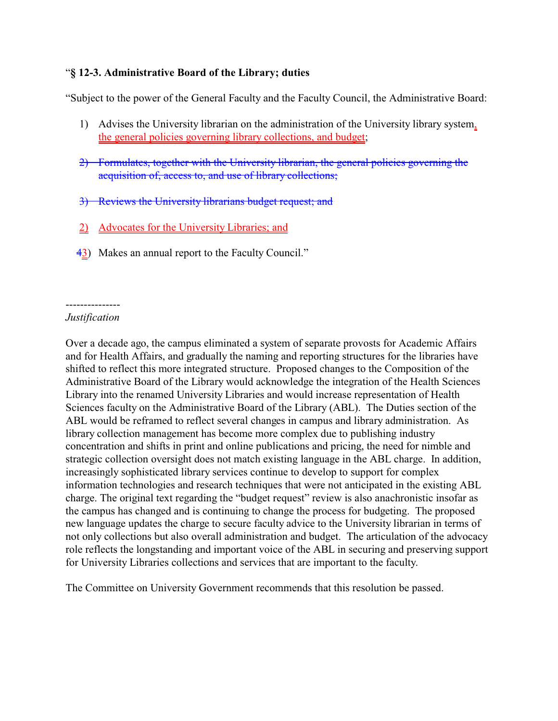# "**§ 12-3. Administrative Board of the Library; duties**

"Subject to the power of the General Faculty and the Faculty Council, the Administrative Board:

- 1) Advises the University librarian on the administration of the University library system, the general policies governing library collections, and budget;
- 2) Formulates, together with the University librarian, the general policies governing the acquisition of, access to, and use of library collections;
- 3) Reviews the University librarians budget request; and
- 2) Advocates for the University Libraries; and
- 43) Makes an annual report to the Faculty Council."

#### --------------- *Justification*

Over a decade ago, the campus eliminated a system of separate provosts for Academic Affairs and for Health Affairs, and gradually the naming and reporting structures for the libraries have shifted to reflect this more integrated structure. Proposed changes to the Composition of the Administrative Board of the Library would acknowledge the integration of the Health Sciences Library into the renamed University Libraries and would increase representation of Health Sciences faculty on the Administrative Board of the Library (ABL). The Duties section of the ABL would be reframed to reflect several changes in campus and library administration. As library collection management has become more complex due to publishing industry concentration and shifts in print and online publications and pricing, the need for nimble and strategic collection oversight does not match existing language in the ABL charge. In addition, increasingly sophisticated library services continue to develop to support for complex information technologies and research techniques that were not anticipated in the existing ABL charge. The original text regarding the "budget request" review is also anachronistic insofar as the campus has changed and is continuing to change the process for budgeting. The proposed new language updates the charge to secure faculty advice to the University librarian in terms of not only collections but also overall administration and budget. The articulation of the advocacy role reflects the longstanding and important voice of the ABL in securing and preserving support for University Libraries collections and services that are important to the faculty.

The Committee on University Government recommends that this resolution be passed.